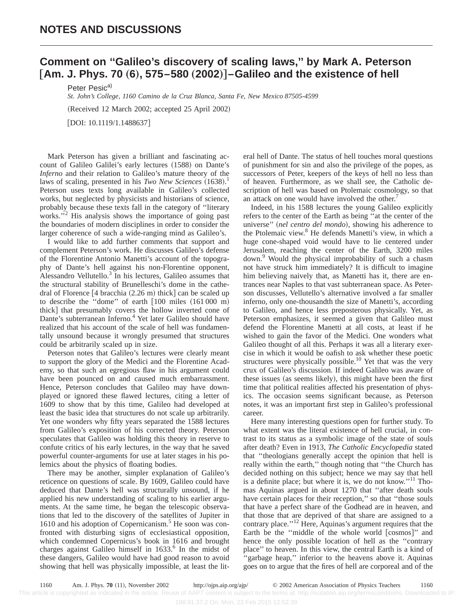## **Comment on ''Galileo's discovery of scaling laws,'' by Mark A. Peterson** [Am. J. Phys. 70 (6), 575–580 (2002)]–Galileo and the existence of hell

Peter Pesic<sup>a)</sup>

*St. John's College, 1160 Camino de la Cruz Blanca, Santa Fe, New Mexico 87505-4599*

 $(Received 12 March 2002; accepted 25 April 2002)$ 

[DOI: 10.1119/1.1488637]

Mark Peterson has given a brilliant and fascinating account of Galileo Galilei's early lectures  $(1588)$  on Dante's *Inferno* and their relation to Galileo's mature theory of the laws of scaling, presented in his *Two New Sciences* (1638).<sup>1</sup> Peterson uses texts long available in Galileo's collected works, but neglected by physicists and historians of science, probably because these texts fall in the category of ''literary works."<sup>2</sup> His analysis shows the importance of going past the boundaries of modern disciplines in order to consider the larger coherence of such a wide-ranging mind as Galileo's.

I would like to add further comments that support and complement Peterson's work. He discusses Galileo's defense of the Florentine Antonio Manetti's account of the topography of Dante's hell against his non-Florentine opponent, Alessandro Vellutello. $3$  In his lectures, Galileo assumes that the structural stability of Brunelleschi's dome in the cathedral of Florence  $[4$  bracchia  $(2.26 \text{ m})$  thick  $]$  can be scaled up to describe the "dome" of earth  $[100 \text{ miles } (161 000 \text{ m})]$ thick] that presumably covers the hollow inverted cone of Dante's subterranean Inferno.<sup>4</sup> Yet later Galileo should have realized that his account of the scale of hell was fundamentally unsound because it wrongly presumed that structures could be arbitrarily scaled up in size.

Peterson notes that Galileo's lectures were clearly meant to support the glory of the Medici and the Florentine Academy, so that such an egregious flaw in his argument could have been pounced on and caused much embarrassment. Hence, Peterson concludes that Galileo may have downplayed or ignored these flawed lectures, citing a letter of 1609 to show that by this time, Galileo had developed at least the basic idea that structures do not scale up arbitrarily. Yet one wonders why fifty years separated the 1588 lectures from Galileo's exposition of his corrected theory. Peterson speculates that Galileo was holding this theory in reserve to confute critics of his early lectures, in the way that he saved powerful counter-arguments for use at later stages in his polemics about the physics of floating bodies.

There may be another, simpler explanation of Galileo's reticence on questions of scale. By 1609, Galileo could have deduced that Dante's hell was structurally unsound, if he applied his new understanding of scaling to his earlier arguments. At the same time, he began the telescopic observations that led to the discovery of the satellites of Jupiter in 1610 and his adoption of Copernicanism.<sup>5</sup> He soon was confronted with disturbing signs of ecclesiastical opposition, which condemned Copernicus's book in 1616 and brought charges against Galileo himself in  $1633$ .<sup>6</sup> In the midst of these dangers, Galileo would have had good reason to avoid showing that hell was physically impossible, at least the literal hell of Dante. The status of hell touches moral questions of punishment for sin and also the privilege of the popes, as successors of Peter, keepers of the keys of hell no less than of heaven. Furthermore, as we shall see, the Catholic description of hell was based on Ptolemaic cosmology, so that an attack on one would have involved the other.<sup>7</sup>

Indeed, in his 1588 lectures the young Galileo explicitly refers to the center of the Earth as being ''at the center of the universe" (nel centro del mondo), showing his adherence to the Ptolemaic view.<sup>8</sup> He defends Manetti's view, in which a huge cone-shaped void would have to lie centered under Jerusalem, reaching the center of the Earth, 3200 miles down.9 Would the physical improbability of such a chasm not have struck him immediately? It is difficult to imagine him believing naively that, as Manetti has it, there are entrances near Naples to that vast subterranean space. As Peterson discusses, Vellutello's alternative involved a far smaller inferno, only one-thousandth the size of Manetti's, according to Galileo, and hence less preposterous physically. Yet, as Peterson emphasizes, it seemed a given that Galileo must defend the Florentine Manetti at all costs, at least if he wished to gain the favor of the Medici. One wonders what Galileo thought of all this. Perhaps it was all a literary exercise in which it would be oafish to ask whether these poetic structures were physically possible.<sup>10</sup> Yet that was the very crux of Galileo's discussion. If indeed Galileo was aware of these issues (as seems likely), this might have been the first time that political realities affected his presentation of physics. The occasion seems significant because, as Peterson notes, it was an important first step in Galileo's professional career.

Here many interesting questions open for further study. To what extent was the literal existence of hell crucial, in contrast to its status as a symbolic image of the state of souls after death? Even in 1913, *The Catholic Encyclopedia* stated that ''theologians generally accept the opinion that hell is really within the earth," though noting that "the Church has decided nothing on this subject; hence we may say that hell is a definite place; but where it is, we do not know.''11 Thomas Aquinas argued in about 1270 that ''after death souls have certain places for their reception,'' so that ''those souls that have a perfect share of the Godhead are in heaven, and that those that are deprived of that share are assigned to a contrary place.''12 Here, Aquinas's argument requires that the Earth be the "middle of the whole world  $[cosmos]'$ " and hence the only possible location of hell as the ''contrary place'' to heaven. In this view, the central Earth is a kind of 'garbage heap," inferior to the heavens above it. Aquinas goes on to argue that the fires of hell are corporeal and of the

1160 Am. J. Phys. **70** (11), November 2002 http://ojps.aip.org/ajp/ © 2002 American Association of Physics Teachers 1160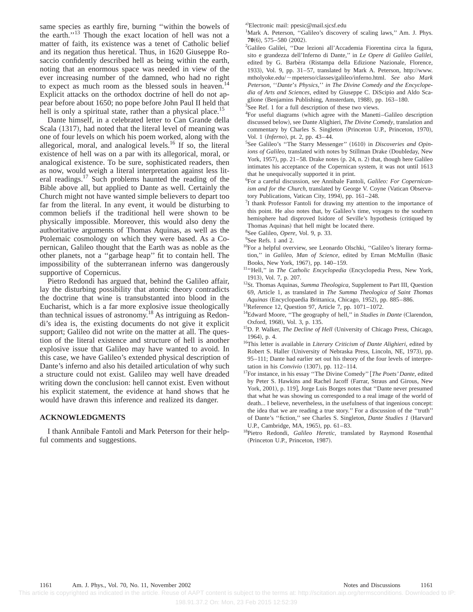same species as earthly fire, burning ''within the bowels of the earth.''13 Though the exact location of hell was not a matter of faith, its existence was a tenet of Catholic belief and its negation thus heretical. Thus, in 1620 Giuseppe Rosaccio confidently described hell as being within the earth, noting that an enormous space was needed in view of the ever increasing number of the damned, who had no right to expect as much room as the blessed souls in heaven.<sup>14</sup> Explicit attacks on the orthodox doctrine of hell do not appear before about 1650; no pope before John Paul II held that hell is only a spiritual state, rather than a physical place.<sup>15</sup>

Dante himself, in a celebrated letter to Can Grande della Scala  $(1317)$ , had noted that the literal level of meaning was one of four levels on which his poem worked, along with the allegorical, moral, and analogical levels.<sup>16</sup> If so, the literal existence of hell was on a par with its allegorical, moral, or analogical existence. To be sure, sophisticated readers, then as now, would weigh a literal interpretation against less literal readings.17 Such problems haunted the reading of the Bible above all, but applied to Dante as well. Certainly the Church might not have wanted simple believers to depart too far from the literal. In any event, it would be disturbing to common beliefs if the traditional hell were shown to be physically impossible. Moreover, this would also deny the authoritative arguments of Thomas Aquinas, as well as the Ptolemaic cosmology on which they were based. As a Copernican, Galileo thought that the Earth was as noble as the other planets, not a ''garbage heap'' fit to contain hell. The impossibility of the subterranean inferno was dangerously supportive of Copernicus.

Pietro Redondi has argued that, behind the Galileo affair, lay the disturbing possibility that atomic theory contradicts the doctrine that wine is transubstanted into blood in the Eucharist, which is a far more explosive issue theologically than technical issues of astronomy.18 As intriguing as Redondi's idea is, the existing documents do not give it explicit support; Galileo did not write on the matter at all. The question of the literal existence and structure of hell is another explosive issue that Galileo may have wanted to avoid. In this case, we have Galileo's extended physical description of Dante's inferno and also his detailed articulation of why such a structure could not exist. Galileo may well have dreaded writing down the conclusion: hell cannot exist. Even without his explicit statement, the evidence at hand shows that he would have drawn this inference and realized its danger.

### **ACKNOWLEDGMENTS**

I thank Annibale Fantoli and Mark Peterson for their helpful comments and suggestions.

a)Electronic mail: ppesic@mail.sjcsf.edu

- <sup>1</sup>Mark A. Peterson, "Galileo's discovery of scaling laws," Am. J. Phys. **70** $(6)$ , 575–580  $(2002)$ .
- <sup>2</sup>Galileo Galilei, "Due lezioni all'Accademia Fiorentina circa la figura, sito e grandezza dell'Inferno di Dante,'' in *Le Opere di Galileo Galilei*, edited by G. Barbèra (Ristampa della Edizione Nazionale, Florence, 1933), Vol. 9, pp. 31-57, translated by Mark A. Peterson, http://www. mtholyoke.edu/;mpeterso/classes/galileo/inferno.html. *See also Mark Peterson*, ''*Dante*'*s Physics*,'' *in The Divine Comedy and the Encyclopedia of Arts and Sciences*, edited by Giuseppe C. DiScipio and Aldo Scaglione (Benjamins Publishing, Amsterdam, 1988), pp. 163–180.

<sup>3</sup>See Ref. 1 for a full description of these two views.

- <sup>4</sup>For useful diagrams (which agree with the Manetti–Galileo description discussed below), see Dante Alighieri, *The Divine Comedy*, translation and commentary by Charles S. Singleton (Princeton U.P., Princeton, 1970), Vol. 1 (Inferno), pt. 2, pp. 43-44.
- <sup>5</sup>See Galileo's "The Starry Messenger" (1610) in *Discoveries and Opinions of Galileo*, translated with notes by Stillman Drake (Doubleday, New York, 1957), pp. 21–58. Drake notes  $(p. 24, n. 2)$  that, though here Galileo intimates his acceptance of the Copernican system, it was not until 1613 that he unequivocally supported it in print.
- 6 For a careful discussion, see Annibale Fantoli, *Galileo: For Copernicanism and for the Church*, translated by George V. Coyne (Vatican Observatory Publications, Vatican City, 1994), pp. 161-248.
- $7$ I thank Professor Fantoli for drawing my attention to the importance of this point. He also notes that, by Galileo's time, voyages to the southern hemisphere had disproved Isidore of Seville's hypothesis (critiqued by Thomas Aquinas) that hell might be located there.
- 8 See Galileo, *Opere*, Vol. 9, p. 33.
- <sup>9</sup>See Refs. 1 and 2.
- <sup>10</sup>For a helpful overview, see Leonardo Olschki, "Galileo's literary formation," in *Galileo, Man of Science*, edited by Ernan McMullin (Basic Books, New York, 1967), pp. 140-159.
- <sup>11</sup>"Hell," in *The Catholic Encyclopedia* (Encyclopedia Press, New York, 1913), Vol. 7, p. 207.
- 12St. Thomas Aquinas, *Summa Theologica*, Supplement to Part III, Question 69, Article 1, as translated in *The Summa Theologica of Saint Thomas Aquinas* (Encyclopaedia Brittanica, Chicago, 1952), pp. 885–886.
- 13Reference 12, Question 97, Article 7, pp. 1071–1072.
- <sup>14</sup>Edward Moore, "The geography of hell," in *Studies in Dante* (Clarendon, Oxford, 1968), Vol. 3, p. 135.
- <sup>15</sup>D. P. Walker, *The Decline of Hell* (University of Chicago Press, Chicago,  $1964$ , p. 4.
- 16This letter is available in *Literary Criticism of Dante Alighieri*, edited by Robert S. Haller (University of Nebraska Press, Lincoln, NE, 1973), pp. 95–111; Dante had earlier set out his theory of the four levels of interpretation in his *Convivio* (1307), pp. 112-114.
- <sup>17</sup>For instance, in his essay "The Divine Comedy" [*The Poets' Dante*, edited by Peter S. Hawkins and Rachel Jacoff (Farrar, Straus and Girous, New York, 2001), p. 119], Jorge Luis Borges notes that "Dante never presumed that what he was showing us corresponded to a real image of the world of death... I believe, nevertheless, in the usefulness of that ingenious concept: the idea that we are reading a true story.'' For a discussion of the ''truth'' of Dante's "fiction," see Charles S. Singleton, *Dante Studies 1* (Harvard U.P., Cambridge, MA, 1965), pp. 61-83.
- 18Pietro Redondi, *Galileo Heretic*, translated by Raymond Rosenthal (Princeton U.P., Princeton, 1987).

 This article is copyrighted as indicated in the article. Reuse of AAPT content is subject to the terms at: http://scitation.aip.org/termsconditions. Downloaded to IP: 198.91.37.2 On: Mon, 23 Feb 2015 12:52:39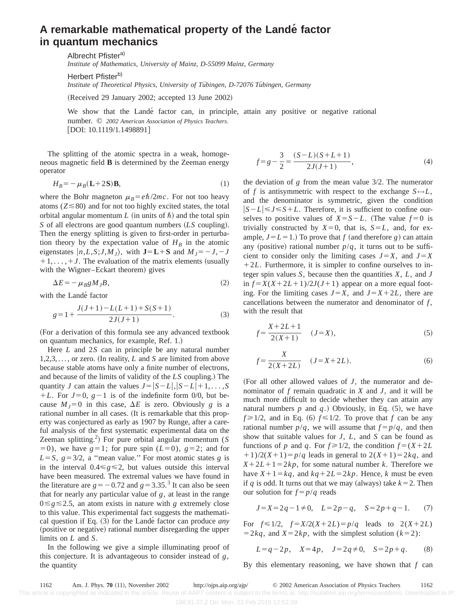# **A remarkable mathematical property of the Lande´ factor in quantum mechanics**

Albrecht Pfister<sup>a)</sup>

*Institute of Mathematics, University of Mainz, D-55099 Mainz, Germany*

Herbert Pfisterb) *Institute of Theoretical Physics, University of Tübingen, D-72076 Tübingen, Germany* 

(Received 29 January 2002; accepted 13 June 2002)

We show that the Landé factor can, in principle, attain any positive or negative rational number. © *2002 American Association of Physics Teachers.*  $|DOI: 10.1119/1.1498891|$ 

The splitting of the atomic spectra in a weak, homogeneous magnetic field **B** is determined by the Zeeman energy operator

$$
H_B = -\mu_B (\mathbf{L} + 2\mathbf{S}) \mathbf{B},\tag{1}
$$

where the Bohr magneton  $\mu_B = e\hbar/2mc$ . For not too heavy atoms  $(Z \le 80)$  and for not too highly excited states, the total orbital angular momentum  $L$  (in units of  $\hbar$ ) and the total spin *S* of all electrons are good quantum numbers (*LS* coupling). Then the energy splitting is given to first-order in perturbation theory by the expectation value of  $H_B$  in the atomic eigenstates  $|n,L,S;J,M_J\rangle$ , with **J**=**L**+**S** and  $M_J = -J, -J$  $1, \ldots, +J$ . The evaluation of the matrix elements (usually with the Wigner–Eckart theorem) gives

$$
\Delta E = -\mu_B g M_J B,\tag{2}
$$

with the Landé factor

$$
g = 1 + \frac{J(J+1) - L(L+1) + S(S+1)}{2J(J+1)}.
$$
 (3)

(For a derivation of this formula see any advanced textbook on quantum mechanics, for example, Ref. 1.)

Here *L* and 2*S* can in principle be any natural number  $1,2,3,...$ , or zero. (In reality, *L* and *S* are limited from above because stable atoms have only a finite number of electrons, and because of the limits of validity of the *LS* coupling.) The quantity *J* can attain the values  $J = |S - L|, |S - L| + 1, \ldots, S$  $+L$ . For  $J=0$ ,  $g-1$  is of the indefinite form 0/0, but because  $M_7=0$  in this case,  $\Delta E$  is zero. Obviously *g* is a rational number in all cases. (It is remarkable that this property was conjectured as early as 1907 by Runge, after a careful analysis of the first systematic experimental data on the Zeeman splitting.2 ! For pure orbital angular momentum (*S*  $(50)$ , we have  $g=1$ ; for pure spin  $(L=0)$ ,  $g=2$ ; and for  $L = S$ ,  $g = 3/2$ , a "mean value." For most atomic states *g* is in the interval  $0.4 \le g \le 2$ , but values outside this interval have been measured. The extremal values we have found in the literature are  $g = -0.72$  and  $g = 3.35$ .<sup>3</sup> It can also be seen that for nearly any particular value of *g*, at least in the range  $0 \le g \le 2.5$ , an atom exists in nature with g extremely close to this value. This experimental fact suggests the mathematical question if Eq. (3) for the Lande<sup> $\epsilon$ </sup> factor can produce *any* (positive or negative) rational number disregarding the upper limits on *L* and *S*.

In the following we give a simple illuminating proof of this conjecture. It is advantageous to consider instead of *g*, the quantity

$$
f = g - \frac{3}{2} = \frac{(S - L)(S + L + 1)}{2J(J + 1)},
$$
\n(4)

the deviation of *g* from the mean value 3/2. The numerator of *f* is antisymmetric with respect to the exchange  $S \leftrightarrow L$ , and the denominator is symmetric, given the condition  $|S-L| \leq J \leq S+L$ . Therefore, it is sufficient to confine ourselves to positive values of  $X = S - L$ . (The value  $f = 0$  is trivially constructed by  $X=0$ , that is,  $S=L$ , and, for example,  $J = L = 1$ .) To prove that *f* (and therefore *g*) can attain any (positive) rational number  $p/q$ , it turns out to be sufficient to consider only the limiting cases  $J=X$ , and  $J=X$  $+2L$ . Furthermore, it is simpler to confine ourselves to integer spin values *S*, because then the quantities *X*, *L*, and *J* in  $f = X(X + 2L + 1)/2J(J+1)$  appear on a more equal footing. For the limiting cases  $J=X$ , and  $J=X+2L$ , there are cancellations between the numerator and denominator of *f* , with the result that

$$
f = \frac{X + 2L + 1}{2(X + 1)} \quad (J = X),
$$
 (5)

$$
f = \frac{X}{2(X+2L)} \quad (J = X + 2L). \tag{6}
$$

(For all other allowed values of  $J$ , the numerator and denominator of *f* remain quadratic in *X* and *J*, and it will be much more difficult to decide whether they can attain any natural numbers  $p$  and  $q$ .) Obviously, in Eq.  $(5)$ , we have  $f \ge 1/2$ , and in Eq. (6)  $f \le 1/2$ . To prove that *f* can be any rational number  $p/q$ , we will assume that  $f = p/q$ , and then show that suitable values for *J*, *L*, and *S* can be found as functions of *p* and *q*. For  $f \ge 1/2$ , the condition  $f = (X + 2L)$  $(1+1)/2(X+1)=p/q$  leads in general to  $2(X+1)=2kq$ , and  $X+2L+1=2kp$ , for some natural number *k*. Therefore we have  $X+1=kq$ , and  $kq+2L=2kp$ . Hence, *k* must be even if *q* is odd. It turns out that we may (always) take  $k=2$ . Then our solution for  $f = p/q$  reads

$$
J = X = 2q - 1 \neq 0, \quad L = 2p - q, \quad S = 2p + q - 1. \tag{7}
$$

For  $f \le 1/2$ ,  $f = X/2(X + 2L) = p/q$  leads to  $2(X + 2L)$  $=2kq$ , and  $X=2kp$ , with the simplest solution ( $k=2$ ):

$$
L=q-2p, \quad X=4p, \quad J=2q\neq 0, \quad S=2p+q. \tag{8}
$$

By this elementary reasoning, we have shown that *f* can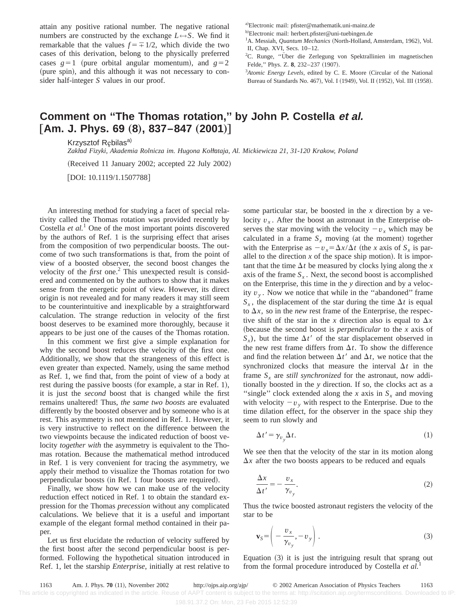attain any positive rational number. The negative rational numbers are constructed by the exchange  $L \leftrightarrow S$ . We find it remarkable that the values  $f = \pm 1/2$ , which divide the two cases of this derivation, belong to the physically preferred cases  $g=1$  (pure orbital angular momentum), and  $g=2$ (pure spin), and this although it was not necessary to consider half-integer *S* values in our proof.

a)Electronic mail: pfister@mathematik.uni-mainz.de

<sup>b)</sup>Electronic mail: herbert.pfister@uni-tuebingen.de

- <sup>1</sup>A. Messiah, *Quantum Mechanics* (North-Holland, Amsterdam, 1962), Vol. II, Chap. XVI, Secs. 10–12.
- <sup>2</sup>C. Runge, "Über die Zerlegung von Spektrallinien im magnetischen Felde," Phys. Z. 8, 232-237 (1907).
- <sup>3</sup>Atomic Energy Levels, edited by C. E. Moore (Circular of the National Bureau of Standards No. 467), Vol. I (1949), Vol. II (1952), Vol. III (1958).

### **Comment on ''The Thomas rotation,'' by John P. Costella et al.**  $[Am. J. Phys. 69 (8), 837–847 (2001)]$

Krzysztof Rebilas<sup>a)</sup>

*Zakl*i*ad Fizyki, Akademia Rolnicza im. Hugona Kol*i*l*i*ataja, Al. Mickiewicza 21, 31-120 Krakow, Poland*  $(Received 11 January 2002; accepted 22 July 2002)$ 

[DOI: 10.1119/1.1507788]

An interesting method for studying a facet of special relativity called the Thomas rotation was provided recently by Costella *et al.*<sup>1</sup> One of the most important points discovered by the authors of Ref. 1 is the surprising effect that arises from the composition of two perpendicular boosts. The outcome of two such transformations is that, from the point of view of a boosted observer, the second boost changes the velocity of the *first* one.<sup>2</sup> This unexpected result is considered and commented on by the authors to show that it makes sense from the energetic point of view. However, its direct origin is not revealed and for many readers it may still seem to be counterintuitive and inexplicable by a straightforward calculation. The strange reduction in velocity of the first boost deserves to be examined more thoroughly, because it appears to be just one of the causes of the Thomas rotation.

In this comment we first give a simple explanation for why the second boost reduces the velocity of the first one. Additionally, we show that the strangeness of this effect is even greater than expected. Namely, using the same method as Ref. 1, we find that, from the point of view of a body at rest during the passive boosts (for example, a star in Ref. 1), it is just the *second* boost that is changed while the first remains unaltered! Thus, *the same two boosts* are evaluated differently by the boosted observer and by someone who is at rest. This asymmetry is not mentioned in Ref. 1. However, it is very instructive to reflect on the difference between the two viewpoints because the indicated reduction of boost velocity *together with* the asymmetry is equivalent to the Thomas rotation. Because the mathematical method introduced in Ref. 1 is very convenient for tracing the asymmetry, we apply their method to visualize the Thomas rotation for two perpendicular boosts (in Ref. 1 four boosts are required).

Finally, we show how we can make use of the velocity reduction effect noticed in Ref. 1 to obtain the standard expression for the Thomas *precession* without any complicated calculations. We believe that it is a useful and important example of the elegant formal method contained in their paper.

Let us first elucidate the reduction of velocity suffered by the first boost after the second perpendicular boost is performed. Following the hypothetical situation introduced in Ref. 1, let the starship *Enterprise*, initially at rest relative to some particular star, be boosted in the *x* direction by a velocity  $v_x$ . After the boost an astronaut in the Enterprise observes the star moving with the velocity  $-v_x$  which may be calculated in a frame  $S_x$  moving (at the moment) together with the Enterprise as  $-v_x = \frac{\Delta x}{\Delta t}$  (the *x* axis of  $S_x$  is parallel to the direction  $x$  of the space ship motion). It is important that the time  $\Delta t$  be measured by clocks lying along the *x* axis of the frame  $S<sub>x</sub>$ . Next, the second boost is accomplished on the Enterprise, this time in the *y* direction and by a velocity  $v_y$ . Now we notice that while in the "abandoned" frame  $S_x$ , the displacement of the star during the time  $\Delta t$  is equal to  $\Delta x$ , so in the *new* rest frame of the Enterprise, the respective shift of the star in the *x* direction also is equal to  $\Delta x$ ~because the second boost is *perpendicular* to the *x* axis of  $S<sub>x</sub>$ ), but the time  $\Delta t'$  of the star displacement observed in the new rest frame differs from  $\Delta t$ . To show the difference and find the relation between  $\Delta t'$  and  $\Delta t$ , we notice that the synchronized clocks that measure the interval  $\Delta t$  in the frame  $S_x$  are *still synchronized* for the astronaut, now additionally boosted in the *y* direction. If so, the clocks act as a "single" clock extended along the *x* axis in  $S<sub>x</sub>$  and moving with velocity  $-v_y$  with respect to the Enterprise. Due to the time dilation effect, for the observer in the space ship they seem to run slowly and

$$
\Delta t' = \gamma_{v_y} \Delta t. \tag{1}
$$

We see then that the velocity of the star in its motion along  $\Delta x$  after the two boosts appears to be reduced and equals

$$
\frac{\Delta x}{\Delta t'} = -\frac{v_x}{\gamma_{v_y}}.\tag{2}
$$

Thus the twice boosted astronaut registers the velocity of the star to be

$$
\mathbf{v}_S = \left( -\frac{\nu_x}{\gamma_{\nu_y}}, -\nu_y \right). \tag{3}
$$

Equation  $(3)$  it is just the intriguing result that sprang out from the formal procedure introduced by Costella *et al.*<sup>1</sup>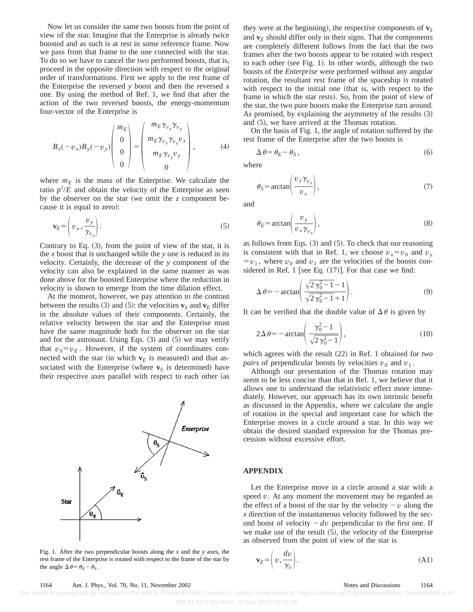Now let us consider the same two boosts from the point of view of the star. Imagine that the Enterprise is already twice boosted and as such is at rest in some reference frame. Now we pass from that frame to the one connected with the star. To do so we have to cancel the two performed boosts, that is, proceed in the opposite direction with respect to the original order of transformations. First we apply to the rest frame of the Enterprise the reversed *y* boost and then the reversed *x* one. By using the method of Ref. 1, we find that after the action of the two reversed boosts, the energy-momentum four-vector of the Enterprise is

$$
B_x(-v_x)B_y(-v_y)\begin{pmatrix} m_E \\ 0 \\ 0 \\ 0 \end{pmatrix} = \begin{pmatrix} m_E \gamma_{v_x} \gamma_{v_y} \\ m_E \gamma_{v_x} \gamma_{v_y} v_x \\ m_E \gamma_{v_y} v_y \\ 0 \end{pmatrix}, \qquad (4)
$$

where  $m_E$  is the mass of the Enterprise. We calculate the ratio  $p^{i}/E$  and obtain the velocity of the Enterprise as seen by the observer on the star (we omit the  $z$  component because it is equal to zero):

$$
\mathbf{v}_E = \left(v_x, \frac{v_y}{\gamma_{v_x}}\right). \tag{5}
$$

Contrary to Eq.  $(3)$ , from the point of view of the star, it is the *x* boost that is unchanged while the *y* one is reduced in its velocity. Certainly, the decrease of the *y* component of the velocity can also be explained in the same manner as was done above for the boosted Enterprise where the reduction in velocity is shown to emerge from the time dilation effect.

At the moment, however, we pay attention to the contrast between the results (3) and (5): the velocities  $\mathbf{v}_s$  and  $\mathbf{v}_E$  differ in the absolute values of their components. Certainly, the relative velocity between the star and the Enterprise must have the same magnitude both for the observer on the star and for the astronaut. Using Eqs.  $(3)$  and  $(5)$  we may verify that  $v_s = v_E$ . However, if the system of coordinates connected with the star (in which  $v<sub>E</sub>$  is measured) and that associated with the Enterprise (where  $v<sub>S</sub>$  is determined) have their respective axes parallel with respect to each other (as



Fig. 1. After the two perpendicular boosts along the *x* and the *y* axes, the rest frame of the Enterprise is rotated with respect to the frame of the star by the angle  $\Delta \theta = \theta_E - \theta_S$ .

they were at the beginning), the respective components of  $\mathbf{v}_s$ and  $\mathbf{v}_E$  should differ only in their signs. That the components are completely different follows from the fact that the two frames after the two boosts appear to be rotated with respect to each other (see Fig. 1). In other words, although the two boosts of the *Enterprise* were performed without any angular rotation, the resultant rest frame of the spaceship *is* rotated with respect to the initial one (that is, with respect to the frame in which the star rests). So, from the point of view of the star, the two pure boosts make the Enterprise turn around. As promised, by explaining the asymmetry of the results  $(3)$ and  $(5)$ , we have arrived at the Thomas rotation.

On the basis of Fig. 1, the angle of rotation suffered by the rest frame of the Enterprise after the two boosts is

$$
\Delta \theta = \theta_E - \theta_S, \qquad (6)
$$

where

$$
\theta_S = \arctan\left(\frac{v_y \gamma_{v_y}}{v_x}\right),\tag{7}
$$

and

$$
\theta_E = \arctan\left(\frac{v_y}{v_x \gamma_{v_x}}\right),\tag{8}
$$

as follows from Eqs.  $(3)$  and  $(5)$ . To check that our reasoning is consistent with that in Ref. 1, we choose  $v_x = v_0$  and  $v_y$  $= v_1$ , where  $v_0$  and  $v_1$  are the velocities of the boosts considered in Ref. 1 [see Eq.  $(17)$ ]. For that case we find:

$$
\Delta \theta = -\arctan\left(\frac{\sqrt{2\gamma_0^2 - 1} - 1}{\sqrt{2\gamma_0^2 - 1} + 1}\right).
$$
\n(9)

It can be verified that the double value of  $\Delta \theta$  is given by

$$
2\Delta\theta = -\arctan\left(\frac{\gamma_0^2 - 1}{\sqrt{2\gamma_0^2 - 1}}\right),\tag{10}
$$

which agrees with the result (22) in Ref. 1 obtained for *two pairs* of perpendicular boosts by velocities  $v_0$  and  $v_1$ .

Although our presentation of the Thomas rotation may seem to be less concise than that in Ref. 1, we believe that it allows one to understand the relativistic effect more immediately. However, our approach has its own intrinsic benefit as discussed in the Appendix, where we calculate the angle of rotation in the special and important case for which the Enterprise moves in a circle around a star. In this way we obtain the desired standard expression for the Thomas precession without excessive effort.

### **APPENDIX**

Let the Enterprise move in a circle around a star with a speed *v*. At any moment the movement may be regarded as the effect of a boost of the star by the velocity  $-v$  along the *x* direction of the instantaneous velocity followed by the second boost of velocity  $-dv$  perpendicular to the first one. If we make use of the result  $(5)$ , the velocity of the Enterprise as observed from the point of view of the star is

$$
\mathbf{v}_E = \left(v, \frac{dv}{\gamma_v}\right). \tag{A1}
$$

1164 Am. J. Phys., Vol. 70, No. 11, November 2002 Notes and Discussions 1164